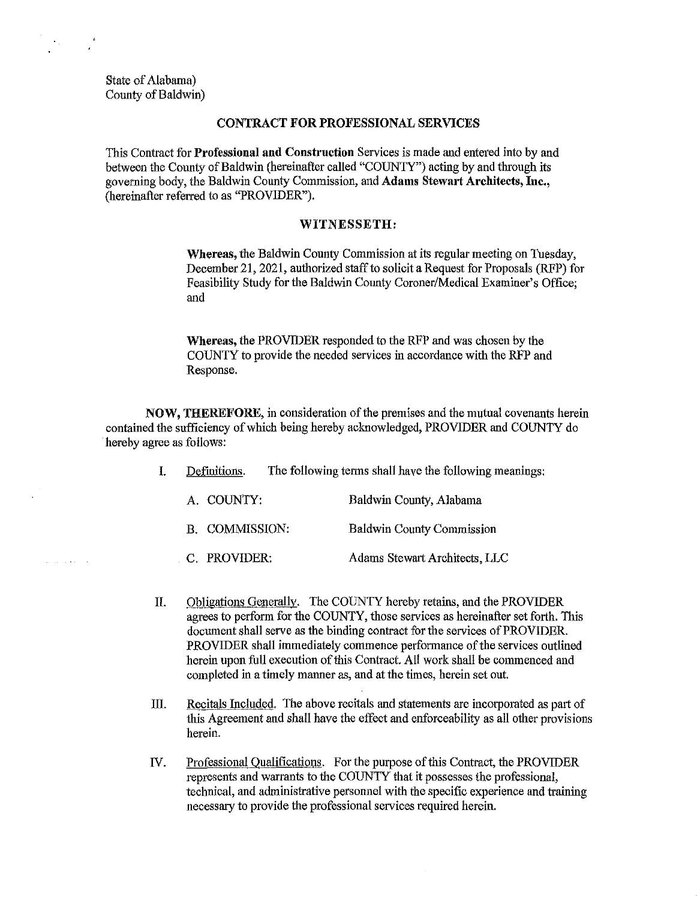State of Alabama) County of Baldwin)

an diale

#### CONTRACT FOR PROFESSIONAL SERVICES

This Contract for Professional and Construction Services is made aud eutered into by aud between the County of Baldwin (hereinafter called "COUNTY") acting by and through its governing body, the Baldwin County Commission, aud Adams Stewart Architects, Inc., (hereinafter referred to as "PROVIDER").

### WITNESSETH:

Whereas, the Baldwin County Commission at its regular meeting on Tuesday, December 21, 2021, authorized staff to solicit a Request for Proposals (RFP) for Feasibility Study for the Baldwin County Coroner/Medical Examiner's Office; and

Whereas, the PROVIDER responded to the RFP and was chosen by the COUNTY to provide the needed services in accordance with the RFP and Response.

NOW, THEREFORE, in consideration of the premises and the mutual covenauts herein contained the sufficiency of which being hereby acknowledged, PROVIDER aud COUNTY do hereby agree as follows:

- I. Definitions. The following tenns shall have the following meanings:
	- A. COUNTY: Baldwin County, Alabama B. COMMISSION: Baldwin County Commission
	- C. PROVIDER: Adams Stewart Architects, LLC
- IL Obligations Generally. The COUNTY hereby retains, aud the PROVIDER agrees to perform for the COUNTY, those services as hereinafter set forth. This document shall serve as the binding contract for the services of PROVIDER. PROVIDER shall immediately commence performance of the services outlined herein upon full execution of this Contract. All work shall be commenced and completed in a timely manner as, and at the times, herein set out.
- III. Recitals Included. The above recitals and statements are incorporated as part of this Agreement and shall have the effect aud enforceability as all other provisions herein.
- IV. Professional Qualifications. For the purpose of this Contract, the PROVIDER represents and warrauts to the COUNTY that it possesses the professional, technical, aud administrative personnel with the specific experience and training necessary to provide the professional services required herein.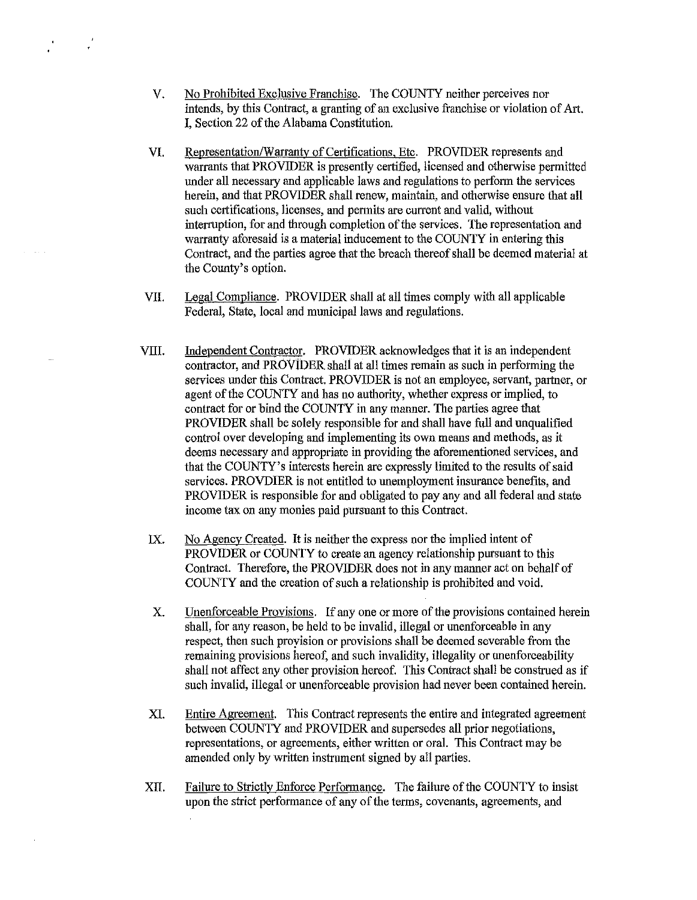- V. No Prohibited Exclusive Franchise. The COUNTY neither perceives nor intends, by this Contract, a granting of an exclusive franchise or violation of Art. I, Section 22 of the Alabama Constitution.
- VI. Representation/Warranty of Certifications, Etc. PROVIDER represents and warrants that PROVIDER is presently certified, licensed and otherwise permitted under all necessary and applicable laws and regulations to perform the services herein, and that PROVIDER shall renew, maintain, and otherwise ensure that all such certifications, licenses, and pennits are current and valid, without interruption, for and through completion of the services. The representation and warranty aforesaid is a material inducement to the COUNTY in entering this Contract, and the parties agree that the breach thereof shall be deemed material at the County's option.
- VII. Legal Compliance. PROVIDER shall at all times comply with all applicable Federal, State, local and municipal laws and regulations.
- VIII. Independent Contractor. PROVIDER acknowledges that it is an independent contractor, and PROVlDER shall at all times remain as such in performing the services under this Contract. PROVIDER is not an employee, servant, partner, or agent of the COUNTY and has no authority, whether express or implied, to contract for or bind the COUNTY in any manner. The parties agree that PROVIDER shall be solely responsible for and shall have full and unqualified control over developing and implementing its own means and methods, as it deems necessary and appropriate in providing the aforementioned services, and that the COUNTY's interests herein are expressly limited to the results of said services. PROVDIER is not entitled to unemployment insurance benefits, and PROVIDER is responsible for and obligated to pay any and all federal and state income tax on any monies paid pursuant to this Contract.
- IX. No Agency Created. It is neither the express nor the implied intent of PROVIDER or COUNTY to create an agency relationship pursuant to this Contract. Therefore, the PROVIDER does not in any manner act on behalf of COUNTY and the creation of such a relationship is prohibited and void.
- X. Unenforceable Provisions. If any one or more of the provisions contained herein shall, for any reason, be held to be invalid, illegal or unenforceable in any respect, then such proyision or provisions shall be deemed severable from the remaining provisions hereof, and such invalidity, illegality or unenforceability shall not affect any other provision hereof. This Contract shall be construed as if such invalid, illegal or unenforceable provision had never been contained herein.
- XI. Entire Agreement. This Contract represents the entire and integrated agreement between COUNTY and PROVIDER and supersedes all prior negotiations, representations, or agreements, either written or oral. This Contract may be amended only by written instrument signed by all parties.
- XII. Failure to Strictly Enforce Performance. The failure of the COUNTY to insist upon the strict performance of any of the terms, covenants, agreements, and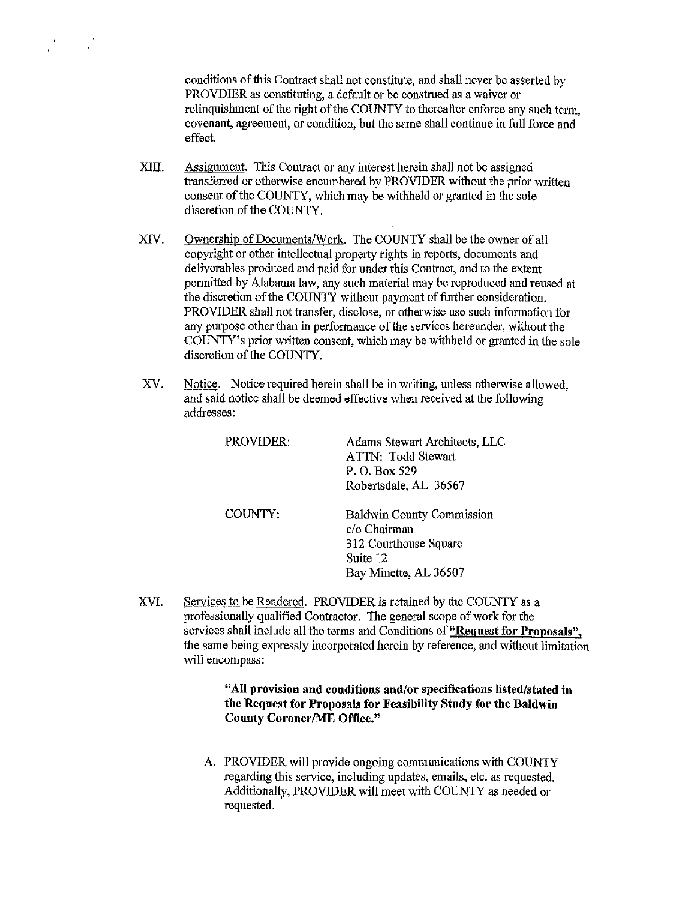conditions of this Contract shall not constitute, and shall never be asserted by PROVDIER as constituting, a default or be construed as a waiver or relinguishment of the right of the COUNTY to thereafter enforce any such term. covenant, agreement, or condition, but the same shall continue in full force and effect.

- XIII. Assignment. This Contract or any interest herein shall not be assigned transferred or otherwise encumbered by PROVIDER without the prior written consent of the COUNTY, which may be withheld or granted in the sole discretion of the COUNTY.
- XIV. Ownership of Documents/Work. The COUNTY shall be the owner of all copyright or other intellectual property rights in reports, documents and deliverables produced and paid for under this Contract, and to the extent pennitted by Alabama law, any such material may be reproduced and reused at the discretion of the COUNTY without payment of further consideration. PROVIDER shall not transfer, disclose, or otherwise use such information for any purpose other than in perfonnance of the services hereunder, without the COUNTY's prior written consent, which may be withheld or granted in the sole discretion of the COUNTY.
- XV. Notice. Notice required herein shall be in writing, unless otherwise allowed, and said notice shall be deemed effective when received at the following addresses:

| PROVIDER: | Adams Stewart Architects, LLC<br>ATTN: Todd Stewart<br>P. O. Box 529<br>Robertsdale, AL 36567                  |
|-----------|----------------------------------------------------------------------------------------------------------------|
| COUNTY:   | <b>Baldwin County Commission</b><br>c/o Chairman<br>312 Courthouse Square<br>Suite 12<br>Bay Minette, AL 36507 |

XVI. Services to be Rendered. PROVIDER is retained by the COUNTY as a professionally qualified Contractor. The general scope of work for the services shall include all the terms and Conditions of "Request for Proposals", the same being expressly incorporated herein by reference, and without limitation will encompass:

> "All provision and conditions and/or specifications listed/stated in the Request for Proposals for Feasibility Study for the Baldwin Conuty Coroner/ME Office."

A. PROVIDER will provide ongoing communications with COUNTY regarding this service, including updates, emails, etc. as requested. Additionally, PROVIDER will meet with COUNTY as needed or requested.

 $\bar{z}$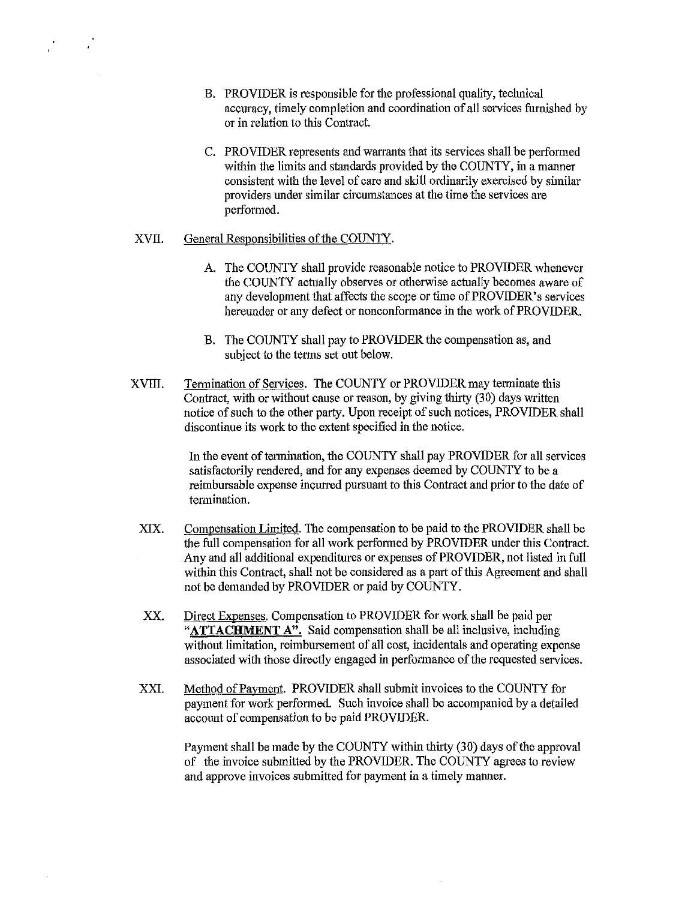- B. PROVIDER is responsible for the professional quality, technical accuracy, timely completion and coordination of all services furnished by or in relation to this Contract.
- C. PROVIDER represents and warrants that its services shall be performed within the limits and standards provided by the COUNTY, in a manner consistent with the level of care and skill ordinarily exercised by similar providers under similar circumstances at the time the services are performed.

### XVII. General Responsibilities of the COUNTY.

- A. The COUNTY shall provide reasonable notice to PROVIDER whenever the COUNTY actually observes or otherwise actually becomes aware of any development that affects the scope or time of PROVIDER's services hereunder or any defect or nonconformance in the work of PROVIDER.
- B. The COUNTY shall pay to PROVIDER the compensation as, and subject to the terms set out below.
- XVIII. Termination of Services. The COUNTY or PROVIDER may terminate this Contract, with or without cause or reason, by giving thirty (30) days written notice of such to the other party. Upon receipt of such notices, PROVIDER shall discontinue its work to the extent specified in the notice.

In the event of termination, the COUNTY shall pay PROVIDER for all services satisfactorily rendered, and for any expenses deemed by COUNTY to be a reimbursable expense incurred pursuant to this Contract and prior to the date of termination.

- XIX. Compensation Limited. The compensation to be paid to the PROVIDER shall be the full compensation for all work performed by PROVIDER under this Contract. Any and all additional expenditures or expenses of PROVIDER, not listed in full within this Contract, shall not be considered as a part of this Agreement and shall not be demanded by PROVIDER or paid by COUNTY.
- XX. Direct Expenses. Compensation to PROVIDER for work shall be paid per **"ATTACHMENT A".** Said compensation shall be all inclusive, including without limitation, reimbursement of all cost, incidentals and operating expense associated with those directly engaged in performance of the requested services.
- XXI. Method of Payment. PROVIDER shall submit invoices to the COUNTY for payment for work perfonned. Such invoice shall be accompanied by a detailed account of compensation to be paid PROVIDER.

Payment shall be made by the COUNTY within thirty (30) days of the approval of the invoice submitted by the PROVIDER. The COUNTY agrees to review and approve invoices submitted for payment in a timely manner.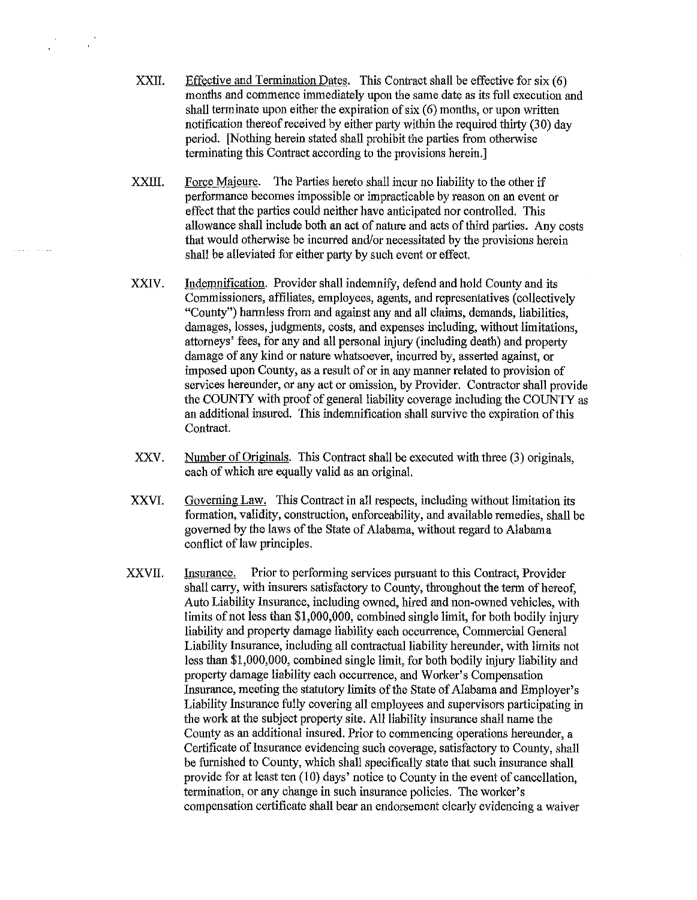- XXII. Effective and Termination Dates. This Contract shall be effective for  $s$ ix  $(6)$ months and commence immediately upon the same date as its full execution and shall terminate upon either the expiration of  $s$ ix  $(6)$  months, or upon written notification thereof received by either party within the required thirty  $(30)$  day period. [Nothing herein stated shall prohibit the parties from otherwise terminating this Contract according to the provisions herein.]
- XXIII. Force Majeure. The Parties hereto shall incur no liability to the other if performance becomes impossible or impracticable by reason on an event or effect that the parties could neither have anticipated nor controlled. This allowance shall include both an act of nature and acts of third parties. Any costs that would otherwise be incurred and/or necessitated by the provisions herein shall be alleviated for either party by such event or effect.
- XXIV. Indemnification. Provider shall indemnify, defend and hold County and its Commissioners, affiliates, employees, agents, and representatives (collectively "County") harmless from and against any and all claims, demands, liabilities, damages, losses, judgments, costs, and expenses including, without limitations, attorneys' fees, for any and all personal injury (including death) and property damage of any kind or nature whatsoever, incurred by, asserted against, or imposed upon County, as a result of or in any manner related to provision of services hereunder, or any act or omission, by Provider. Contractor shall provide the COUNTY with proof of general liability coverage including the COUNTY as an additional insured. This indemnification shall survive the expiration of this Contract.
- XXV. Number of Originals. This Contract shall be executed with three (3) originals, each of which are equally valid as an original.
- XXVI. Governing Law. This Contract in all respects, including without limitation its formation, validity, construction, enforceability, and available remedies, shall be governed by the laws of the State of Alabama, without regard to Alabama conflict of law principles.
- XXVII. Insurance. Prior to performing services pursuant to this Contract, Provider shall carry, with insurers satisfactory to County, throughout the term of hereof, Auto Liability Insurance, including owned, hired and non-owned vehicles, with limits of not less than \$1,000,000, combined single limit, for both bodily injury liability and property damage liability each occurrence, Commercial General Liability Insurance, including all contractual liability hereunder, with limits not less than \$1,000,000, combined single limit, for both bodily injury liability and property damage liability each occurrence, and Worker's Compensation Insurance, meeting the statutory limits of the State of Alabama and Employer's Liability Insurance fully covering all employees and supervisors participating in the work at the subject property site. All liability insurance shall name the County as an additional insured. Prior to commencing operations hereunder, a Certificate of Insurance evidencing such coverage, satisfactory to County, shall be furnished to County, which shall specifically state that such insurauce shall provide for at least ten (10) days' notice to County in the event of cancellation, termination, or any change in such insurance policies. The worker's compensation certificate shall bear an endorsement clearly evidencing a waiver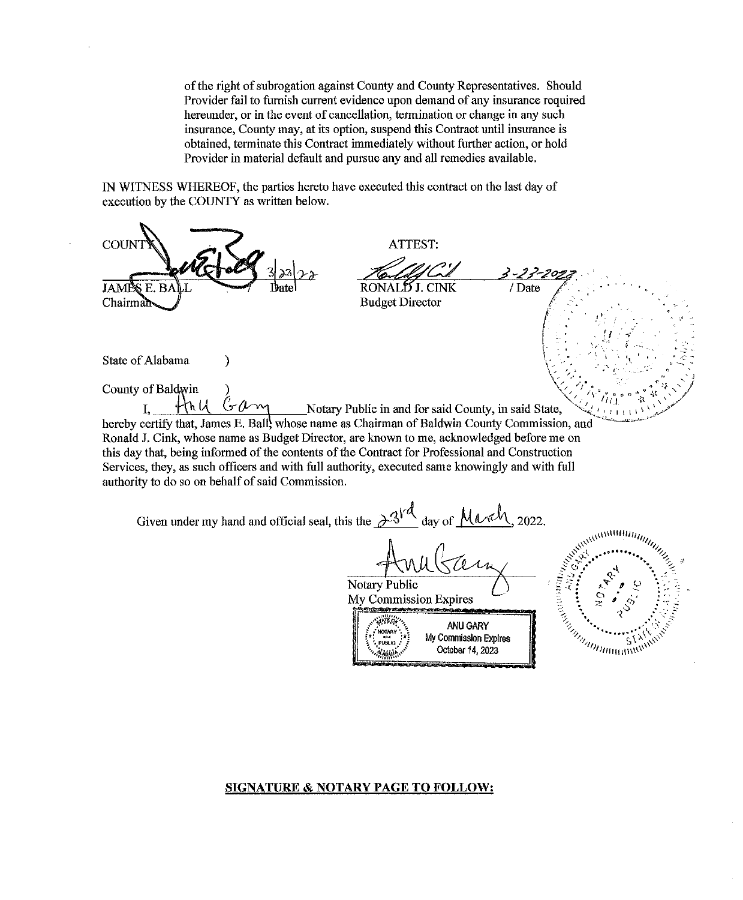of the right of subrogation against County and County Representatives. Should Provider fail to furnish current evidence upon demand of any insurance required hereunder, or in the event of cancellation, termination or change in any such insurance, County may, at its option, suspend this Contract until insurance is obtained, terminate this Contract immediately without further action, or hold Provider in material default and pursue any and all remedies available.

IN WITNESS WHEREOF, the parties hereto have executed this contract on the last day of execution by the COUNTY as written below.

 $\mathbf{r}$ 

| <b>COUN</b>                                                                                                                                                                                                                                                                                                                                                                                                                                                                                                                                           |  | ATTEST:                                           |                                                       |                  |                              |  |  |
|-------------------------------------------------------------------------------------------------------------------------------------------------------------------------------------------------------------------------------------------------------------------------------------------------------------------------------------------------------------------------------------------------------------------------------------------------------------------------------------------------------------------------------------------------------|--|---------------------------------------------------|-------------------------------------------------------|------------------|------------------------------|--|--|
| <b>JAMPS E. BAL</b><br>Chairman                                                                                                                                                                                                                                                                                                                                                                                                                                                                                                                       |  | RONAL' <b>Y</b> J. CINK<br><b>Budget Director</b> |                                                       | 3-23-20<br>/Date |                              |  |  |
| State of Alabama<br>County of Baldwin                                                                                                                                                                                                                                                                                                                                                                                                                                                                                                                 |  |                                                   |                                                       |                  |                              |  |  |
| $\mathcal{H}_{h}$ $\mu$ $\mathcal{G}_{m}$ Notary Public in and for said County, in said State,<br>hereby certify that, James E. Ball, whose name as Chairman of Baldwin County Commission, and<br>Ronald J. Cink, whose name as Budget Director, are known to me, acknowledged before me on<br>this day that, being informed of the contents of the Contract for Professional and Construction<br>Services, they, as such officers and with full authority, executed same knowingly and with full<br>authority to do so on behalf of said Commission. |  |                                                   |                                                       |                  |                              |  |  |
| Given under my hand and official seal, this the $\frac{\partial^{3}A}{\partial x^{3}}$ day of March, 2022.                                                                                                                                                                                                                                                                                                                                                                                                                                            |  |                                                   |                                                       |                  |                              |  |  |
|                                                                                                                                                                                                                                                                                                                                                                                                                                                                                                                                                       |  | Notary Public<br>My Commission Expires            |                                                       |                  |                              |  |  |
|                                                                                                                                                                                                                                                                                                                                                                                                                                                                                                                                                       |  |                                                   | ANU GARY<br>My Commission Expires<br>October 14, 2023 |                  | <b>CALIFORNIA CONTRACTOR</b> |  |  |

# **SIGNATURE & NOTARY PAGE TO FOLLOW:**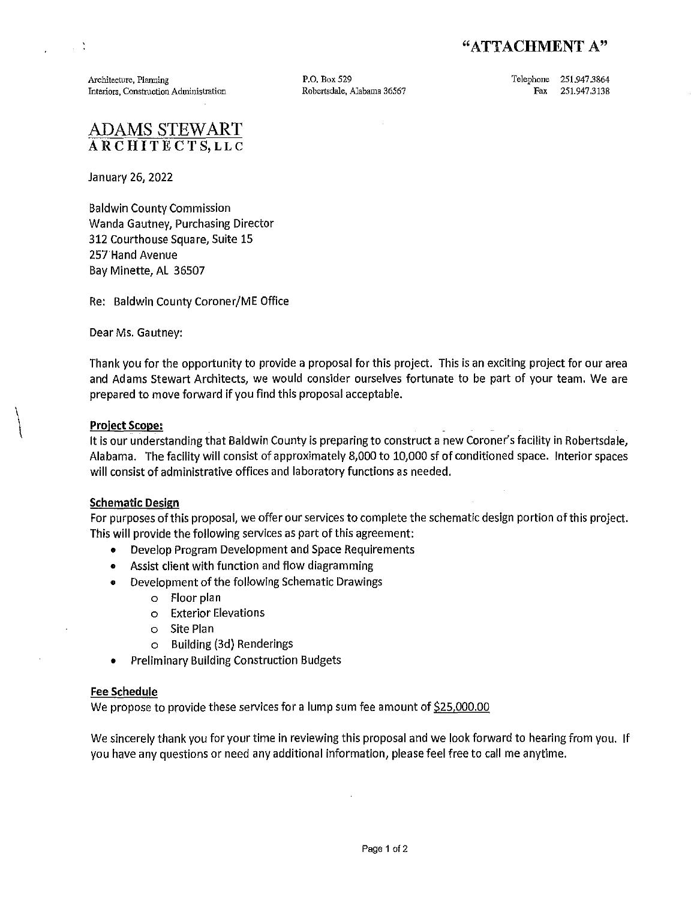# "ATTACHMENT A"

Architecture, Planning Interiors, Construction Administration P.O. Box529 Robertsdale, Alabama 36567 Telephone 251.947 .3864 Fax 251.947.3138

# ADAMS STEWART ARCHITECTS, LLC

January 26, 2022

 $\sim$   $^{\circ}$ 

Baldwin County Commission Wanda Gautney, Purchasing Director 312 Courthouse Square, Suite 15 257Hand Avenue Bay Minette, AL 36507

Re: Baldwin County Coroner/ME Office

Dear Ms. Gautney:

Thank you for the opportunity to provide a proposal for this project. This is an exciting project for our area and Adams Stewart Architects, we would consider ourselves fortunate to be part of your team. We are prepared to move forward if you find this proposal acceptable.

# Project Scope:

 $\left\vert \right\vert$ 

It is our understanding that Baldwin County is preparing to construct a new Coroner's facility in Robertsdale, Alabama. The facility will consist of approximately 8,000 to 10,000 sf of conditioned space. Interior spaces will consist of administrative offices and laboratory functions as needed.

### Schematic Design

For purposes of this proposal, we offer our services to complete the schematic design portion of this project. This will provide the following services as part of this agreement:

- Develop Program Development and Space Requirements
- Assist client with function and flow diagramming
- Development of the following Schematic Drawings
	- o Floor plan
		- o Exterior Elevations
		- o Site Plan
		- o Building (3d) Renderings
- Preliminary Building Construction Budgets

# Fee Schedule

We propose to provide these services for a lump sum fee amount of \$25,000.00

We sincerely thank you for your time in reviewing this proposal and we look forward to hearing from you. If you have any questions or need any additional information, please feel free to call me anytime.